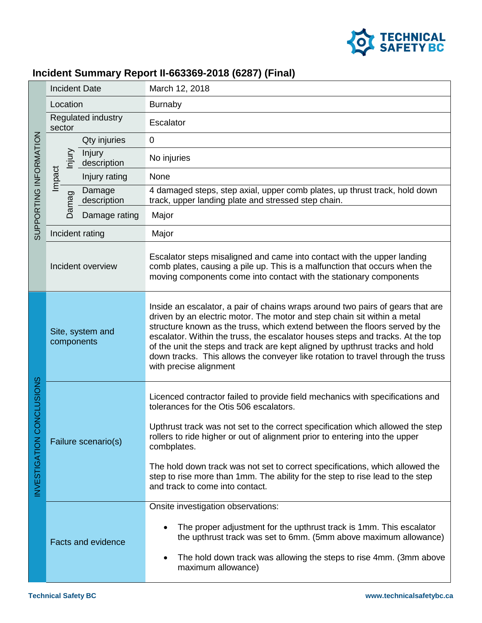

## **Incident Summary Report II-663369-2018 (6287) (Final)**

| SUPPORTING INFORMATION              | <b>Incident Date</b>           |                       | March 12, 2018                                                                                                                                                                                                                                                                                                                                                                                                                                                                                                           |
|-------------------------------------|--------------------------------|-----------------------|--------------------------------------------------------------------------------------------------------------------------------------------------------------------------------------------------------------------------------------------------------------------------------------------------------------------------------------------------------------------------------------------------------------------------------------------------------------------------------------------------------------------------|
|                                     | Location                       |                       | <b>Burnaby</b>                                                                                                                                                                                                                                                                                                                                                                                                                                                                                                           |
|                                     | Regulated industry<br>sector   |                       | Escalator                                                                                                                                                                                                                                                                                                                                                                                                                                                                                                                |
|                                     | njury<br>Impact                | Qty injuries          | $\mathbf 0$                                                                                                                                                                                                                                                                                                                                                                                                                                                                                                              |
|                                     |                                | Injury<br>description | No injuries                                                                                                                                                                                                                                                                                                                                                                                                                                                                                                              |
|                                     |                                | Injury rating         | None                                                                                                                                                                                                                                                                                                                                                                                                                                                                                                                     |
|                                     | Damag                          | Damage<br>description | 4 damaged steps, step axial, upper comb plates, up thrust track, hold down<br>track, upper landing plate and stressed step chain.                                                                                                                                                                                                                                                                                                                                                                                        |
|                                     |                                | Damage rating         | Major                                                                                                                                                                                                                                                                                                                                                                                                                                                                                                                    |
|                                     | Incident rating                |                       | Major                                                                                                                                                                                                                                                                                                                                                                                                                                                                                                                    |
|                                     | Incident overview              |                       | Escalator steps misaligned and came into contact with the upper landing<br>comb plates, causing a pile up. This is a malfunction that occurs when the<br>moving components come into contact with the stationary components                                                                                                                                                                                                                                                                                              |
| CONCLUSIONS<br><b>INVESTIGATION</b> | Site, system and<br>components |                       | Inside an escalator, a pair of chains wraps around two pairs of gears that are<br>driven by an electric motor. The motor and step chain sit within a metal<br>structure known as the truss, which extend between the floors served by the<br>escalator. Within the truss, the escalator houses steps and tracks. At the top<br>of the unit the steps and track are kept aligned by upthrust tracks and hold<br>down tracks. This allows the conveyer like rotation to travel through the truss<br>with precise alignment |
|                                     | Failure scenario(s)            |                       | Licenced contractor failed to provide field mechanics with specifications and<br>tolerances for the Otis 506 escalators.                                                                                                                                                                                                                                                                                                                                                                                                 |
|                                     |                                |                       | Upthrust track was not set to the correct specification which allowed the step<br>rollers to ride higher or out of alignment prior to entering into the upper<br>combplates.                                                                                                                                                                                                                                                                                                                                             |
|                                     |                                |                       | The hold down track was not set to correct specifications, which allowed the<br>step to rise more than 1mm. The ability for the step to rise lead to the step<br>and track to come into contact.                                                                                                                                                                                                                                                                                                                         |
|                                     | <b>Facts and evidence</b>      |                       | Onsite investigation observations:                                                                                                                                                                                                                                                                                                                                                                                                                                                                                       |
|                                     |                                |                       | The proper adjustment for the upthrust track is 1mm. This escalator<br>the upthrust track was set to 6mm. (5mm above maximum allowance)                                                                                                                                                                                                                                                                                                                                                                                  |
|                                     |                                |                       | The hold down track was allowing the steps to rise 4mm. (3mm above<br>maximum allowance)                                                                                                                                                                                                                                                                                                                                                                                                                                 |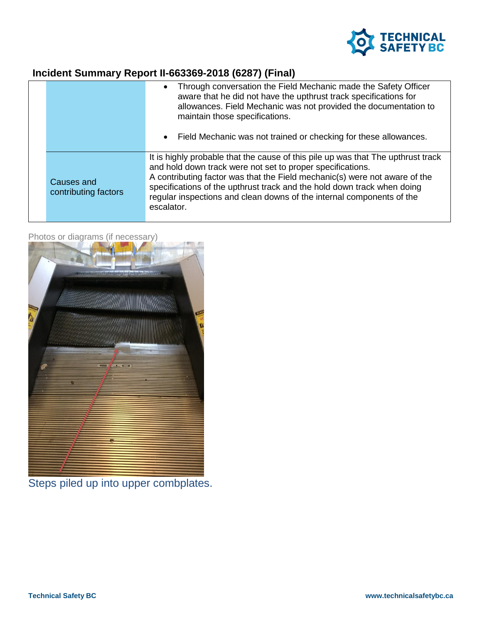

## **Incident Summary Report II-663369-2018 (6287) (Final)**

|                                    | Through conversation the Field Mechanic made the Safety Officer<br>$\bullet$<br>aware that he did not have the upthrust track specifications for<br>allowances. Field Mechanic was not provided the documentation to<br>maintain those specifications.<br>Field Mechanic was not trained or checking for these allowances.<br>$\bullet$                                                        |
|------------------------------------|------------------------------------------------------------------------------------------------------------------------------------------------------------------------------------------------------------------------------------------------------------------------------------------------------------------------------------------------------------------------------------------------|
| Causes and<br>contributing factors | It is highly probable that the cause of this pile up was that The upthrust track<br>and hold down track were not set to proper specifications.<br>A contributing factor was that the Field mechanic(s) were not aware of the<br>specifications of the upthrust track and the hold down track when doing<br>regular inspections and clean downs of the internal components of the<br>escalator. |



Photos or diagrams (if necessary)

Steps piled up into upper combplates.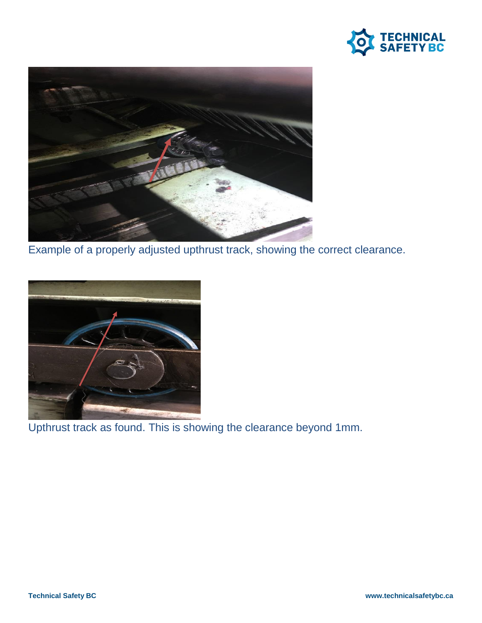



Example of a properly adjusted upthrust track, showing the correct clearance.



Upthrust track as found. This is showing the clearance beyond 1mm.